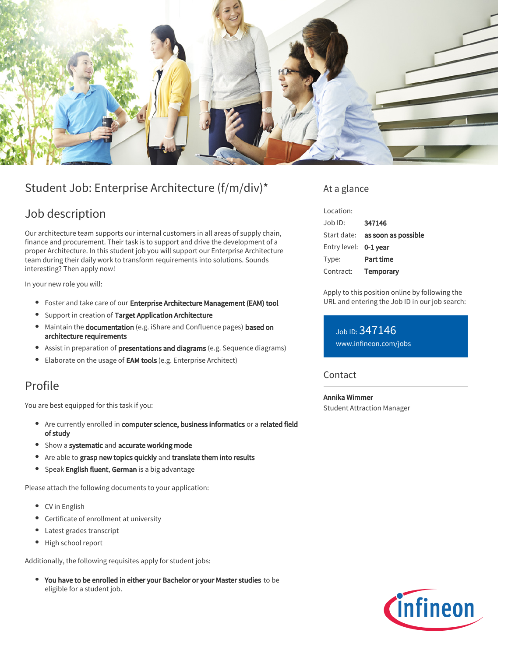

# Student Job: Enterprise Architecture (f/m/div)\*

# Job description

Our architecture team supports our internal customers in all areas of supply chain, finance and procurement. Their task is to support and drive the development of a proper Architecture. In this student job you will support our Enterprise Architecture team during their daily work to transform requirements into solutions. Sounds interesting? Then apply now!

In your new role you will:

- **•** Foster and take care of our Enterprise Architecture Management (EAM) tool
- **•** Support in creation of Target Application Architecture
- $\bullet$  Maintain the documentation (e.g. iShare and Confluence pages) based on architecture requirements
- Assist in preparation of **presentations and diagrams** (e.g. Sequence diagrams)
- **Elaborate on the usage of EAM tools (e.g. Enterprise Architect)**

## Profile

You are best equipped for this task if you:

- Are currently enrolled in computer science, business informatics or a related field of study
- Show a systematic and accurate working mode
- Are able to grasp new topics quickly and translate them into results
- **Speak English fluent, German** is a big advantage

Please attach the following documents to your application:

- CV in English
- Certificate of enrollment at university
- Latest grades transcript
- High school report

Additionally, the following requisites apply for student jobs:

You have to be enrolled in either your Bachelor or your Master studies to be eligible for a student job.

### At a glance

| Location:             |                                        |
|-----------------------|----------------------------------------|
| $Joh$ ID:             | 347146                                 |
|                       | Start date: <b>as soon as possible</b> |
| Entry level: 0-1 year |                                        |
| Type:                 | Part time                              |
| Contract:             | Temporary                              |

Apply to this position online by following the URL and entering the Job ID in our job search:

Job ID: 347146 [www.infineon.com/jobs](https://www.infineon.com/jobs)

### **Contact**

Annika Wimmer Student Attraction Manager